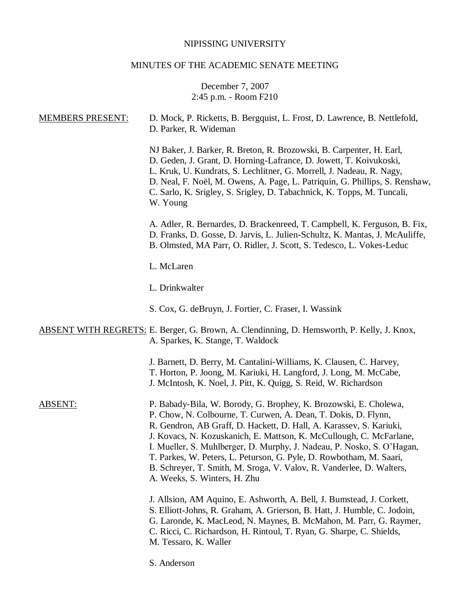# NIPISSING UNIVERSITY

# MINUTES OF THE ACADEMIC SENATE MEETING

## December 7, 2007 2:45 p.m. - Room F210

| <b>MEMBERS PRESENT:</b> | D. Mock, P. Ricketts, B. Bergquist, L. Frost, D. Lawrence, B. Nettlefold,<br>D. Parker, R. Wideman                                                                                                                                                                                                                                                                                                                                                                                                                                        |
|-------------------------|-------------------------------------------------------------------------------------------------------------------------------------------------------------------------------------------------------------------------------------------------------------------------------------------------------------------------------------------------------------------------------------------------------------------------------------------------------------------------------------------------------------------------------------------|
|                         | NJ Baker, J. Barker, R. Breton, R. Brozowski, B. Carpenter, H. Earl,<br>D. Geden, J. Grant, D. Horning-Lafrance, D. Jowett, T. Koivukoski,<br>L. Kruk, U. Kundrats, S. Lechlitner, G. Morrell, J. Nadeau, R. Nagy,<br>D. Neal, F. Noël, M. Owens, A. Page, L. Patriquin, G. Phillips, S. Renshaw,<br>C. Sarlo, K. Srigley, S. Srigley, D. Tabachnick, K. Topps, M. Tuncali,<br>W. Young                                                                                                                                                   |
|                         | A. Adler, R. Bernardes, D. Brackenreed, T. Campbell, K. Ferguson, B. Fix,<br>D. Franks, D. Gosse, D. Jarvis, L. Julien-Schultz, K. Mantas, J. McAuliffe,<br>B. Olmsted, MA Parr, O. Ridler, J. Scott, S. Tedesco, L. Vokes-Leduc                                                                                                                                                                                                                                                                                                          |
|                         | L. McLaren                                                                                                                                                                                                                                                                                                                                                                                                                                                                                                                                |
|                         | L. Drinkwalter                                                                                                                                                                                                                                                                                                                                                                                                                                                                                                                            |
|                         | S. Cox, G. deBruyn, J. Fortier, C. Fraser, I. Wassink                                                                                                                                                                                                                                                                                                                                                                                                                                                                                     |
|                         | ABSENT WITH REGRETS: E. Berger, G. Brown, A. Clendinning, D. Hemsworth, P. Kelly, J. Knox,<br>A. Sparkes, K. Stange, T. Waldock                                                                                                                                                                                                                                                                                                                                                                                                           |
|                         | J. Barnett, D. Berry, M. Cantalini-Williams, K. Clausen, C. Harvey,<br>T. Horton, P. Joong, M. Kariuki, H. Langford, J. Long, M. McCabe,<br>J. McIntosh, K. Noel, J. Pitt, K. Quigg, S. Reid, W. Richardson                                                                                                                                                                                                                                                                                                                               |
| <b>ABSENT:</b>          | P. Babady-Bila, W. Borody, G. Brophey, K. Brozowski, E. Cholewa,<br>P. Chow, N. Colbourne, T. Curwen, A. Dean, T. Dokis, D. Flynn,<br>R. Gendron, AB Graff, D. Hackett, D. Hall, A. Karassev, S. Kariuki,<br>J. Kovacs, N. Kozuskanich, E. Mattson, K. McCullough, C. McFarlane,<br>I. Mueller, S. Muhlberger, D. Murphy, J. Nadeau, P. Nosko, S. O'Hagan,<br>T. Parkes, W. Peters, L. Peturson, G. Pyle, D. Rowbotham, M. Saari,<br>B. Schreyer, T. Smith, M. Sroga, V. Valov, R. Vanderlee, D. Walters,<br>A. Weeks, S. Winters, H. Zhu |
|                         | J. Allsion, AM Aquino, E. Ashworth, A. Bell, J. Bumstead, J. Corkett,<br>S. Elliott-Johns, R. Graham, A. Grierson, B. Hatt, J. Humble, C. Jodoin,<br>G. Laronde, K. MacLeod, N. Maynes, B. McMahon, M. Parr, G. Raymer,<br>C. Ricci, C. Richardson, H. Rintoul, T. Ryan, G. Sharpe, C. Shields,<br>M. Tessaro, K. Waller                                                                                                                                                                                                                  |
|                         | S. Anderson                                                                                                                                                                                                                                                                                                                                                                                                                                                                                                                               |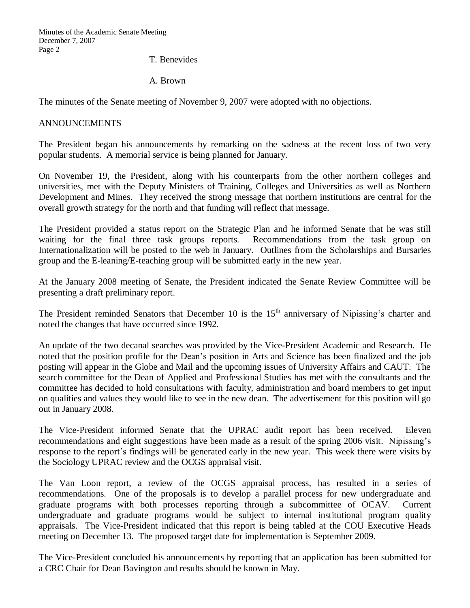Minutes of the Academic Senate Meeting December 7, 2007 Page 2

T. Benevides

A. Brown

The minutes of the Senate meeting of November 9, 2007 were adopted with no objections.

#### ANNOUNCEMENTS

The President began his announcements by remarking on the sadness at the recent loss of two very popular students. A memorial service is being planned for January.

On November 19, the President, along with his counterparts from the other northern colleges and universities, met with the Deputy Ministers of Training, Colleges and Universities as well as Northern Development and Mines. They received the strong message that northern institutions are central for the overall growth strategy for the north and that funding will reflect that message.

The President provided a status report on the Strategic Plan and he informed Senate that he was still waiting for the final three task groups reports. Recommendations from the task group on Internationalization will be posted to the web in January. Outlines from the Scholarships and Bursaries group and the E-leaning/E-teaching group will be submitted early in the new year.

At the January 2008 meeting of Senate, the President indicated the Senate Review Committee will be presenting a draft preliminary report.

The President reminded Senators that December 10 is the  $15<sup>th</sup>$  anniversary of Nipissing's charter and noted the changes that have occurred since 1992.

An update of the two decanal searches was provided by the Vice-President Academic and Research. He noted that the position profile for the Dean's position in Arts and Science has been finalized and the job posting will appear in the Globe and Mail and the upcoming issues of University Affairs and CAUT. The search committee for the Dean of Applied and Professional Studies has met with the consultants and the committee has decided to hold consultations with faculty, administration and board members to get input on qualities and values they would like to see in the new dean. The advertisement for this position will go out in January 2008.

The Vice-President informed Senate that the UPRAC audit report has been received. Eleven recommendations and eight suggestions have been made as a result of the spring 2006 visit. Nipissing's response to the report's findings will be generated early in the new year. This week there were visits by the Sociology UPRAC review and the OCGS appraisal visit.

The Van Loon report, a review of the OCGS appraisal process, has resulted in a series of recommendations. One of the proposals is to develop a parallel process for new undergraduate and graduate programs with both processes reporting through a subcommittee of OCAV. Current undergraduate and graduate programs would be subject to internal institutional program quality appraisals. The Vice-President indicated that this report is being tabled at the COU Executive Heads meeting on December 13. The proposed target date for implementation is September 2009.

The Vice-President concluded his announcements by reporting that an application has been submitted for a CRC Chair for Dean Bavington and results should be known in May.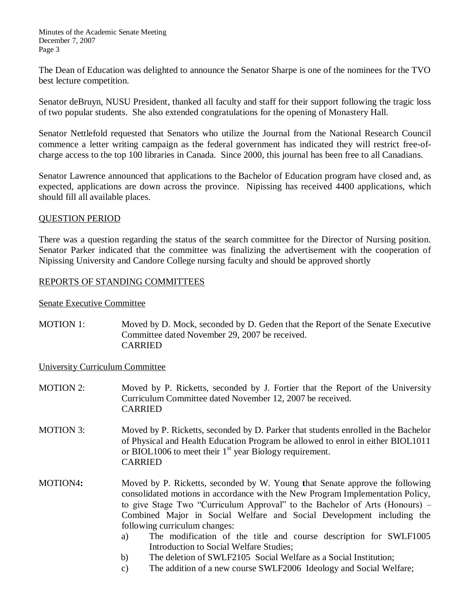Minutes of the Academic Senate Meeting December 7, 2007 Page 3

The Dean of Education was delighted to announce the Senator Sharpe is one of the nominees for the TVO best lecture competition.

Senator deBruyn, NUSU President, thanked all faculty and staff for their support following the tragic loss of two popular students. She also extended congratulations for the opening of Monastery Hall.

Senator Nettlefold requested that Senators who utilize the Journal from the National Research Council commence a letter writing campaign as the federal government has indicated they will restrict free-ofcharge access to the top 100 libraries in Canada. Since 2000, this journal has been free to all Canadians.

Senator Lawrence announced that applications to the Bachelor of Education program have closed and, as expected, applications are down across the province. Nipissing has received 4400 applications, which should fill all available places.

### QUESTION PERIOD

There was a question regarding the status of the search committee for the Director of Nursing position. Senator Parker indicated that the committee was finalizing the advertisement with the cooperation of Nipissing University and Candore College nursing faculty and should be approved shortly

### REPORTS OF STANDING COMMITTEES

Senate Executive Committee

MOTION 1: Moved by D. Mock, seconded by D. Geden that the Report of the Senate Executive Committee dated November 29, 2007 be received. CARRIED

University Curriculum Committee

- MOTION 2: Moved by P. Ricketts, seconded by J. Fortier that the Report of the University Curriculum Committee dated November 12, 2007 be received. CARRIED
- MOTION 3: Moved by P. Ricketts, seconded by D. Parker that students enrolled in the Bachelor of Physical and Health Education Program be allowed to enrol in either BIOL1011 or BIOL1006 to meet their  $1<sup>st</sup>$  year Biology requirement. CARRIED
- MOTION4**:** Moved by P. Ricketts, seconded by W. Young **t**hat Senate approve the following consolidated motions in accordance with the New Program Implementation Policy, to give Stage Two "Curriculum Approval" to the Bachelor of Arts (Honours) – Combined Major in Social Welfare and Social Development including the following curriculum changes:
	- a) The modification of the title and course description for SWLF1005 Introduction to Social Welfare Studies;
	- b) The deletion of SWLF2105 Social Welfare as a Social Institution;
	- c) The addition of a new course SWLF2006 Ideology and Social Welfare;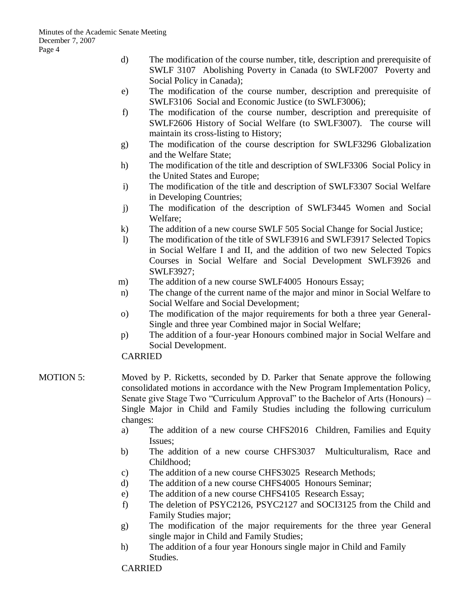- d) The modification of the course number, title, description and prerequisite of SWLF 3107 Abolishing Poverty in Canada (to SWLF2007 Poverty and Social Policy in Canada);
- e) The modification of the course number, description and prerequisite of SWLF3106 Social and Economic Justice (to SWLF3006);
- f) The modification of the course number, description and prerequisite of SWLF2606 History of Social Welfare (to SWLF3007). The course will maintain its cross-listing to History;
- g) The modification of the course description for SWLF3296 Globalization and the Welfare State;
- h) The modification of the title and description of SWLF3306 Social Policy in the United States and Europe;
- i) The modification of the title and description of SWLF3307 Social Welfare in Developing Countries;
- j) The modification of the description of SWLF3445 Women and Social Welfare;
- k) The addition of a new course SWLF 505 Social Change for Social Justice;
- l) The modification of the title of SWLF3916 and SWLF3917 Selected Topics in Social Welfare I and II, and the addition of two new Selected Topics Courses in Social Welfare and Social Development SWLF3926 and SWLF3927;
- m) The addition of a new course SWLF4005 Honours Essay;
- n) The change of the current name of the major and minor in Social Welfare to Social Welfare and Social Development;
- o) The modification of the major requirements for both a three year General-Single and three year Combined major in Social Welfare;
- p) The addition of a four-year Honours combined major in Social Welfare and Social Development.

## CARRIED

- MOTION 5: Moved by P. Ricketts, seconded by D. Parker that Senate approve the following consolidated motions in accordance with the New Program Implementation Policy, Senate give Stage Two "Curriculum Approval" to the Bachelor of Arts (Honours) – Single Major in Child and Family Studies including the following curriculum changes:
	- a) The addition of a new course CHFS2016 Children, Families and Equity Issues;
	- b) The addition of a new course CHFS3037 Multiculturalism, Race and Childhood;
	- c) The addition of a new course CHFS3025 Research Methods;
	- d) The addition of a new course CHFS4005 Honours Seminar;
	- e) The addition of a new course CHFS4105 Research Essay;
	- f) The deletion of PSYC2126, PSYC2127 and SOCI3125 from the Child and Family Studies major;
	- g) The modification of the major requirements for the three year General single major in Child and Family Studies;
	- h) The addition of a four year Honours single major in Child and Family Studies.

## CARRIED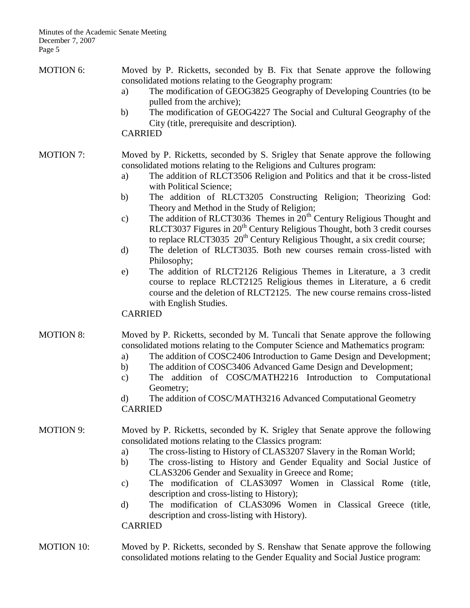| <b>MOTION 6:</b> | Moved by P. Ricketts, seconded by B. Fix that Senate approve the following<br>consolidated motions relating to the Geography program:<br>The modification of GEOG3825 Geography of Developing Countries (to be<br>a)<br>pulled from the archive);<br>The modification of GEOG4227 The Social and Cultural Geography of the<br>b)<br>City (title, prerequisite and description).<br><b>CARRIED</b>                                                                                                                                                                                                                                                                                                                                                                                                                                                                                                                                                                                                                                                   |
|------------------|-----------------------------------------------------------------------------------------------------------------------------------------------------------------------------------------------------------------------------------------------------------------------------------------------------------------------------------------------------------------------------------------------------------------------------------------------------------------------------------------------------------------------------------------------------------------------------------------------------------------------------------------------------------------------------------------------------------------------------------------------------------------------------------------------------------------------------------------------------------------------------------------------------------------------------------------------------------------------------------------------------------------------------------------------------|
| <b>MOTION 7:</b> | Moved by P. Ricketts, seconded by S. Srigley that Senate approve the following<br>consolidated motions relating to the Religions and Cultures program:<br>The addition of RLCT3506 Religion and Politics and that it be cross-listed<br>a)<br>with Political Science;<br>The addition of RLCT3205 Constructing Religion; Theorizing God:<br>b)<br>Theory and Method in the Study of Religion;<br>The addition of RLCT3036 Themes in $20th$ Century Religious Thought and<br>$\mathbf{c})$<br>RLCT3037 Figures in 20 <sup>th</sup> Century Religious Thought, both 3 credit courses<br>to replace RLCT3035 $20th$ Century Religious Thought, a six credit course;<br>The deletion of RLCT3035. Both new courses remain cross-listed with<br>d)<br>Philosophy;<br>The addition of RLCT2126 Religious Themes in Literature, a 3 credit<br>$\epsilon$ )<br>course to replace RLCT2125 Religious themes in Literature, a 6 credit<br>course and the deletion of RLCT2125. The new course remains cross-listed<br>with English Studies.<br><b>CARRIED</b> |
| <b>MOTION 8:</b> | Moved by P. Ricketts, seconded by M. Tuncali that Senate approve the following<br>consolidated motions relating to the Computer Science and Mathematics program:<br>The addition of COSC2406 Introduction to Game Design and Development;<br>a)<br>The addition of COSC3406 Advanced Game Design and Development;<br>b)<br>The addition of COSC/MATH2216 Introduction to Computational<br>$\mathbf{c})$<br>Geometry;<br>The addition of COSC/MATH3216 Advanced Computational Geometry<br>d)<br><b>CARRIED</b>                                                                                                                                                                                                                                                                                                                                                                                                                                                                                                                                       |
| <b>MOTION 9:</b> | Moved by P. Ricketts, seconded by K. Srigley that Senate approve the following<br>consolidated motions relating to the Classics program:<br>The cross-listing to History of CLAS3207 Slavery in the Roman World;<br>a)<br>The cross-listing to History and Gender Equality and Social Justice of<br>b)<br>CLAS3206 Gender and Sexuality in Greece and Rome;<br>The modification of CLAS3097 Women in Classical Rome (title,<br>$\mathbf{c})$<br>description and cross-listing to History);<br>The modification of CLAS3096 Women in Classical Greece (title,<br>d)<br>description and cross-listing with History).<br><b>CARRIED</b>                                                                                                                                                                                                                                                                                                                                                                                                                |
| MOTION 10:       | Moved by P. Ricketts, seconded by S. Renshaw that Senate approve the following                                                                                                                                                                                                                                                                                                                                                                                                                                                                                                                                                                                                                                                                                                                                                                                                                                                                                                                                                                      |

### MOTION 10: Moved by P. Ricketts, seconded by S. Renshaw that Senate approve the following consolidated motions relating to the Gender Equality and Social Justice program: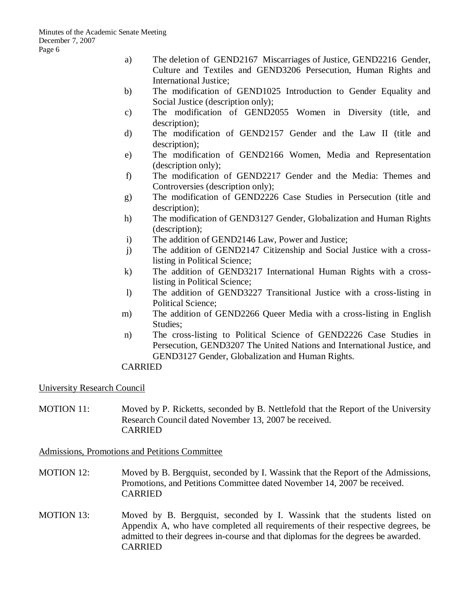- a) The deletion of GEND2167 Miscarriages of Justice, GEND2216 Gender, Culture and Textiles and GEND3206 Persecution, Human Rights and International Justice;
- b) The modification of GEND1025 Introduction to Gender Equality and Social Justice (description only);
- c) The modification of GEND2055 Women in Diversity (title, and description);
- d) The modification of GEND2157 Gender and the Law II (title and description);
- e) The modification of GEND2166 Women, Media and Representation (description only);
- f) The modification of GEND2217 Gender and the Media: Themes and Controversies (description only);
- g) The modification of GEND2226 Case Studies in Persecution (title and description);
- h) The modification of GEND3127 Gender, Globalization and Human Rights (description);
- i) The addition of GEND2146 Law, Power and Justice;
- j) The addition of GEND2147 Citizenship and Social Justice with a crosslisting in Political Science;
- k) The addition of GEND3217 International Human Rights with a crosslisting in Political Science;
- l) The addition of GEND3227 Transitional Justice with a cross-listing in Political Science;
- m) The addition of GEND2266 Queer Media with a cross-listing in English Studies;
- n) The cross-listing to Political Science of GEND2226 Case Studies in Persecution, GEND3207 The United Nations and International Justice, and GEND3127 Gender, Globalization and Human Rights.

## CARRIED

University Research Council

MOTION 11: Moved by P. Ricketts, seconded by B. Nettlefold that the Report of the University Research Council dated November 13, 2007 be received. CARRIED

Admissions, Promotions and Petitions Committee

- MOTION 12: Moved by B. Bergquist, seconded by I. Wassink that the Report of the Admissions, Promotions, and Petitions Committee dated November 14, 2007 be received. CARRIED
- MOTION 13: Moved by B. Bergquist, seconded by I. Wassink that the students listed on Appendix A, who have completed all requirements of their respective degrees, be admitted to their degrees in-course and that diplomas for the degrees be awarded. CARRIED